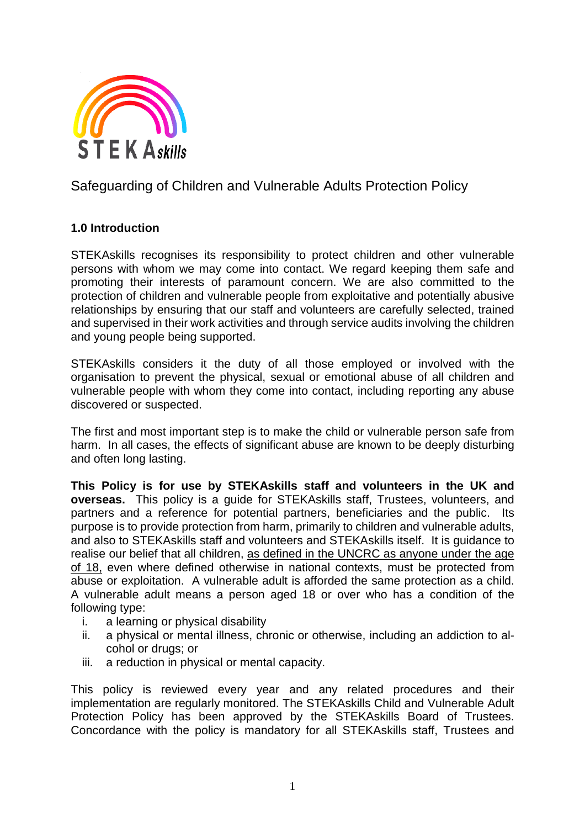

# Safeguarding of Children and Vulnerable Adults Protection Policy

### **1.0 Introduction**

STEKAskills recognises its responsibility to protect children and other vulnerable persons with whom we may come into contact. We regard keeping them safe and promoting their interests of paramount concern. We are also committed to the protection of children and vulnerable people from exploitative and potentially abusive relationships by ensuring that our staff and volunteers are carefully selected, trained and supervised in their work activities and through service audits involving the children and young people being supported.

STEKAskills considers it the duty of all those employed or involved with the organisation to prevent the physical, sexual or emotional abuse of all children and vulnerable people with whom they come into contact, including reporting any abuse discovered or suspected.

The first and most important step is to make the child or vulnerable person safe from harm. In all cases, the effects of significant abuse are known to be deeply disturbing and often long lasting.

**This Policy is for use by STEKAskills staff and volunteers in the UK and overseas.** This policy is a guide for STEKAskills staff, Trustees, volunteers, and partners and a reference for potential partners, beneficiaries and the public. Its purpose is to provide protection from harm, primarily to children and vulnerable adults, and also to STEKAskills staff and volunteers and STEKAskills itself. It is guidance to realise our belief that all children, as defined in the UNCRC as anyone under the age of 18, even where defined otherwise in national contexts, must be protected from abuse or exploitation. A vulnerable adult is afforded the same protection as a child. A vulnerable adult means a person aged 18 or over who has a condition of the following type:

- i. a learning or physical disability
- ii. a physical or mental illness, chronic or otherwise, including an addiction to alcohol or drugs; or
- iii. a reduction in physical or mental capacity.

This policy is reviewed every year and any related procedures and their implementation are regularly monitored. The STEKAskills Child and Vulnerable Adult Protection Policy has been approved by the STEKAskills Board of Trustees. Concordance with the policy is mandatory for all STEKAskills staff, Trustees and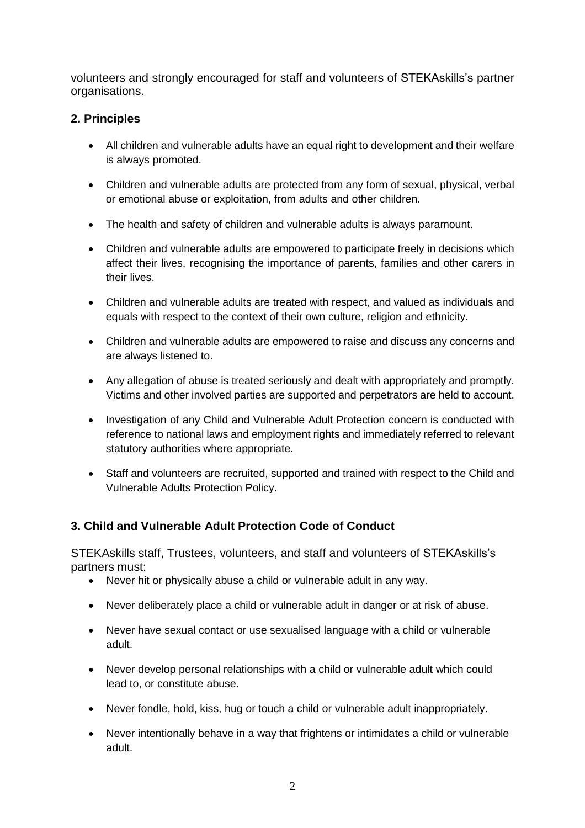volunteers and strongly encouraged for staff and volunteers of STEKAskills's partner organisations.

## **2. Principles**

- All children and vulnerable adults have an equal right to development and their welfare is always promoted.
- Children and vulnerable adults are protected from any form of sexual, physical, verbal or emotional abuse or exploitation, from adults and other children.
- The health and safety of children and vulnerable adults is always paramount.
- Children and vulnerable adults are empowered to participate freely in decisions which affect their lives, recognising the importance of parents, families and other carers in their lives.
- Children and vulnerable adults are treated with respect, and valued as individuals and equals with respect to the context of their own culture, religion and ethnicity.
- Children and vulnerable adults are empowered to raise and discuss any concerns and are always listened to.
- Any allegation of abuse is treated seriously and dealt with appropriately and promptly. Victims and other involved parties are supported and perpetrators are held to account.
- Investigation of any Child and Vulnerable Adult Protection concern is conducted with reference to national laws and employment rights and immediately referred to relevant statutory authorities where appropriate.
- Staff and volunteers are recruited, supported and trained with respect to the Child and Vulnerable Adults Protection Policy.

# **3. Child and Vulnerable Adult Protection Code of Conduct**

STEKAskills staff, Trustees, volunteers, and staff and volunteers of STEKAskills's partners must:

- Never hit or physically abuse a child or vulnerable adult in any way.
- Never deliberately place a child or vulnerable adult in danger or at risk of abuse.
- Never have sexual contact or use sexualised language with a child or vulnerable adult.
- Never develop personal relationships with a child or vulnerable adult which could lead to, or constitute abuse.
- Never fondle, hold, kiss, hug or touch a child or vulnerable adult inappropriately.
- Never intentionally behave in a way that frightens or intimidates a child or vulnerable adult.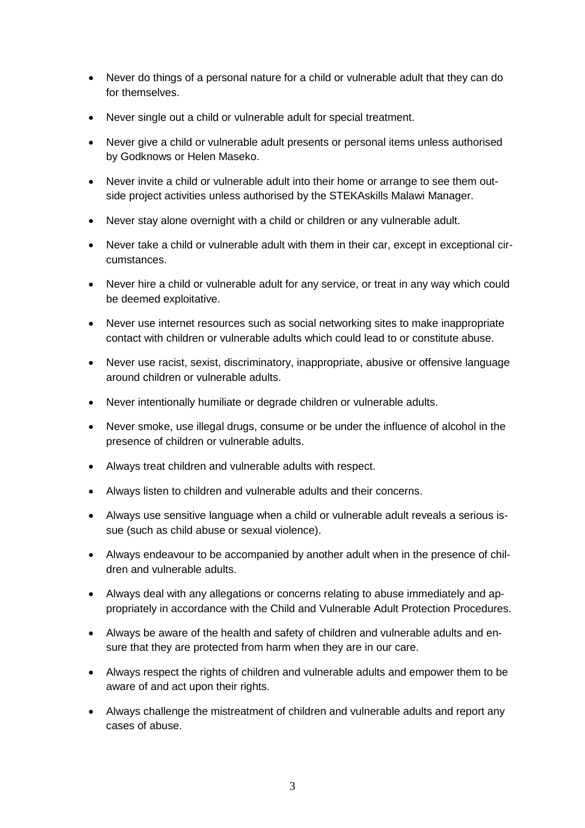- Never do things of a personal nature for a child or vulnerable adult that they can do for themselves.
- Never single out a child or vulnerable adult for special treatment.
- Never give a child or vulnerable adult presents or personal items unless authorised by Godknows or Helen Maseko.
- Never invite a child or vulnerable adult into their home or arrange to see them outside project activities unless authorised by the STEKAskills Malawi Manager.
- Never stay alone overnight with a child or children or any vulnerable adult.
- Never take a child or vulnerable adult with them in their car, except in exceptional circumstances.
- Never hire a child or vulnerable adult for any service, or treat in any way which could be deemed exploitative.
- Never use internet resources such as social networking sites to make inappropriate contact with children or vulnerable adults which could lead to or constitute abuse.
- Never use racist, sexist, discriminatory, inappropriate, abusive or offensive language around children or vulnerable adults.
- Never intentionally humiliate or degrade children or vulnerable adults.
- Never smoke, use illegal drugs, consume or be under the influence of alcohol in the presence of children or vulnerable adults.
- Always treat children and vulnerable adults with respect.
- Always listen to children and vulnerable adults and their concerns.
- Always use sensitive language when a child or vulnerable adult reveals a serious issue (such as child abuse or sexual violence).
- Always endeavour to be accompanied by another adult when in the presence of children and vulnerable adults.
- Always deal with any allegations or concerns relating to abuse immediately and appropriately in accordance with the Child and Vulnerable Adult Protection Procedures.
- Always be aware of the health and safety of children and vulnerable adults and ensure that they are protected from harm when they are in our care.
- Always respect the rights of children and vulnerable adults and empower them to be aware of and act upon their rights.
- Always challenge the mistreatment of children and vulnerable adults and report any cases of abuse.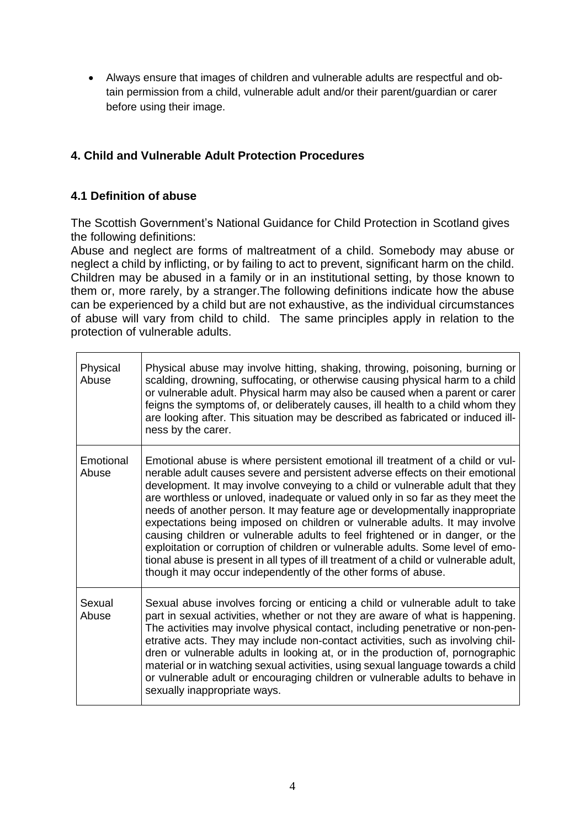• Always ensure that images of children and vulnerable adults are respectful and obtain permission from a child, vulnerable adult and/or their parent/guardian or carer before using their image.

# **4. Child and Vulnerable Adult Protection Procedures**

## **4.1 Definition of abuse**

The Scottish Government's National Guidance for Child Protection in Scotland gives the following definitions:

Abuse and neglect are forms of maltreatment of a child. Somebody may abuse or neglect a child by inflicting, or by failing to act to prevent, significant harm on the child. Children may be abused in a family or in an institutional setting, by those known to them or, more rarely, by a stranger.The following definitions indicate how the abuse can be experienced by a child but are not exhaustive, as the individual circumstances of abuse will vary from child to child. The same principles apply in relation to the protection of vulnerable adults.

| Physical<br>Abuse  | Physical abuse may involve hitting, shaking, throwing, poisoning, burning or<br>scalding, drowning, suffocating, or otherwise causing physical harm to a child<br>or vulnerable adult. Physical harm may also be caused when a parent or carer<br>feigns the symptoms of, or deliberately causes, ill health to a child whom they<br>are looking after. This situation may be described as fabricated or induced ill-<br>ness by the carer.                                                                                                                                                                                                                                                                                                                                                                                       |
|--------------------|-----------------------------------------------------------------------------------------------------------------------------------------------------------------------------------------------------------------------------------------------------------------------------------------------------------------------------------------------------------------------------------------------------------------------------------------------------------------------------------------------------------------------------------------------------------------------------------------------------------------------------------------------------------------------------------------------------------------------------------------------------------------------------------------------------------------------------------|
| Emotional<br>Abuse | Emotional abuse is where persistent emotional ill treatment of a child or vul-<br>nerable adult causes severe and persistent adverse effects on their emotional<br>development. It may involve conveying to a child or vulnerable adult that they<br>are worthless or unloved, inadequate or valued only in so far as they meet the<br>needs of another person. It may feature age or developmentally inappropriate<br>expectations being imposed on children or vulnerable adults. It may involve<br>causing children or vulnerable adults to feel frightened or in danger, or the<br>exploitation or corruption of children or vulnerable adults. Some level of emo-<br>tional abuse is present in all types of ill treatment of a child or vulnerable adult,<br>though it may occur independently of the other forms of abuse. |
| Sexual<br>Abuse    | Sexual abuse involves forcing or enticing a child or vulnerable adult to take<br>part in sexual activities, whether or not they are aware of what is happening.<br>The activities may involve physical contact, including penetrative or non-pen-<br>etrative acts. They may include non-contact activities, such as involving chil-<br>dren or vulnerable adults in looking at, or in the production of, pornographic<br>material or in watching sexual activities, using sexual language towards a child<br>or vulnerable adult or encouraging children or vulnerable adults to behave in<br>sexually inappropriate ways.                                                                                                                                                                                                       |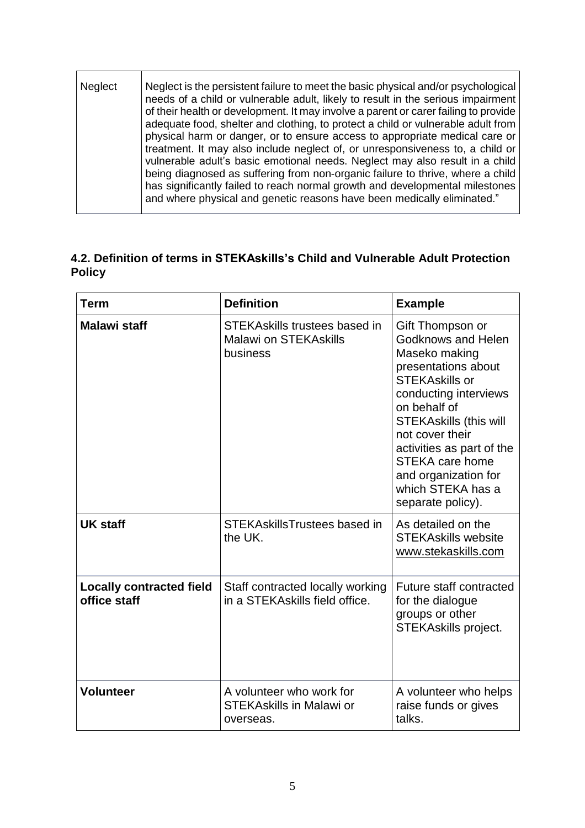| Neglect | Neglect is the persistent failure to meet the basic physical and/or psychological<br>needs of a child or vulnerable adult, likely to result in the serious impairment<br>of their health or development. It may involve a parent or carer failing to provide<br>adequate food, shelter and clothing, to protect a child or vulnerable adult from<br>physical harm or danger, or to ensure access to appropriate medical care or<br>treatment. It may also include neglect of, or unresponsiveness to, a child or<br>vulnerable adult's basic emotional needs. Neglect may also result in a child<br>being diagnosed as suffering from non-organic failure to thrive, where a child<br>has significantly failed to reach normal growth and developmental milestones<br>and where physical and genetic reasons have been medically eliminated." |
|---------|-----------------------------------------------------------------------------------------------------------------------------------------------------------------------------------------------------------------------------------------------------------------------------------------------------------------------------------------------------------------------------------------------------------------------------------------------------------------------------------------------------------------------------------------------------------------------------------------------------------------------------------------------------------------------------------------------------------------------------------------------------------------------------------------------------------------------------------------------|
|         |                                                                                                                                                                                                                                                                                                                                                                                                                                                                                                                                                                                                                                                                                                                                                                                                                                               |

# **4.2. Definition of terms in STEKAskills's Child and Vulnerable Adult Protection Policy**

| Term                                            | <b>Definition</b>                                                         | <b>Example</b>                                                                                                                                                                                                                                                                                                                       |
|-------------------------------------------------|---------------------------------------------------------------------------|--------------------------------------------------------------------------------------------------------------------------------------------------------------------------------------------------------------------------------------------------------------------------------------------------------------------------------------|
| <b>Malawi staff</b>                             | STEKAskills trustees based in<br><b>Malawi on STEKAskills</b><br>business | Gift Thompson or<br><b>Godknows and Helen</b><br>Maseko making<br>presentations about<br><b>STEKAskills or</b><br>conducting interviews<br>on behalf of<br><b>STEKAskills (this will</b><br>not cover their<br>activities as part of the<br><b>STEKA care home</b><br>and organization for<br>which STEKA has a<br>separate policy). |
| <b>UK staff</b>                                 | STEKAskillsTrustees based in<br>the UK.                                   | As detailed on the<br><b>STEKAskills website</b><br>www.stekaskills.com                                                                                                                                                                                                                                                              |
| <b>Locally contracted field</b><br>office staff | Staff contracted locally working<br>in a STEKAskills field office.        | <b>Future staff contracted</b><br>for the dialogue<br>groups or other<br><b>STEKAskills project.</b>                                                                                                                                                                                                                                 |
| <b>Volunteer</b>                                | A volunteer who work for<br><b>STEKAskills in Malawi or</b><br>overseas.  | A volunteer who helps<br>raise funds or gives<br>talks.                                                                                                                                                                                                                                                                              |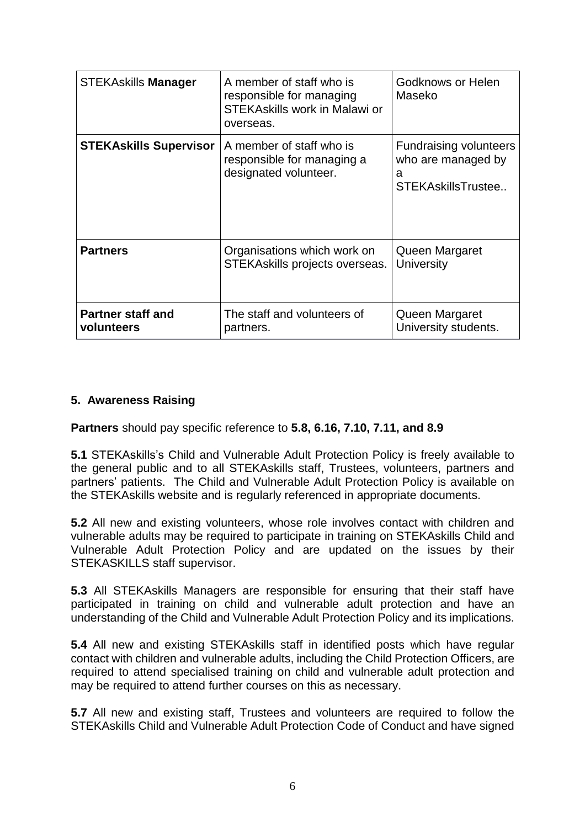| <b>STEKAskills Manager</b>             | A member of staff who is<br>responsible for managing<br><b>STEKAskills work in Malawi or</b><br>overseas. | Godknows or Helen<br>Maseko                                                    |
|----------------------------------------|-----------------------------------------------------------------------------------------------------------|--------------------------------------------------------------------------------|
| <b>STEKAskills Supervisor</b>          | A member of staff who is<br>responsible for managing a<br>designated volunteer.                           | <b>Fundraising volunteers</b><br>who are managed by<br>a<br>STEKAskillsTrustee |
| <b>Partners</b>                        | Organisations which work on<br>STEKAskills projects overseas.                                             | Queen Margaret<br>University                                                   |
| <b>Partner staff and</b><br>volunteers | The staff and volunteers of<br>partners.                                                                  | Queen Margaret<br>University students.                                         |

# **5. Awareness Raising**

**Partners** should pay specific reference to **5.8, 6.16, 7.10, 7.11, and 8.9**

**5.1** STEKAskills's Child and Vulnerable Adult Protection Policy is freely available to the general public and to all STEKAskills staff, Trustees, volunteers, partners and partners' patients. The Child and Vulnerable Adult Protection Policy is available on the STEKAskills website and is regularly referenced in appropriate documents.

**5.2** All new and existing volunteers, whose role involves contact with children and vulnerable adults may be required to participate in training on STEKAskills Child and Vulnerable Adult Protection Policy and are updated on the issues by their STEKASKILLS staff supervisor.

**5.3** All STEKAskills Managers are responsible for ensuring that their staff have participated in training on child and vulnerable adult protection and have an understanding of the Child and Vulnerable Adult Protection Policy and its implications.

**5.4** All new and existing STEKAskills staff in identified posts which have regular contact with children and vulnerable adults, including the Child Protection Officers, are required to attend specialised training on child and vulnerable adult protection and may be required to attend further courses on this as necessary.

**5.7** All new and existing staff, Trustees and volunteers are required to follow the STEKAskills Child and Vulnerable Adult Protection Code of Conduct and have signed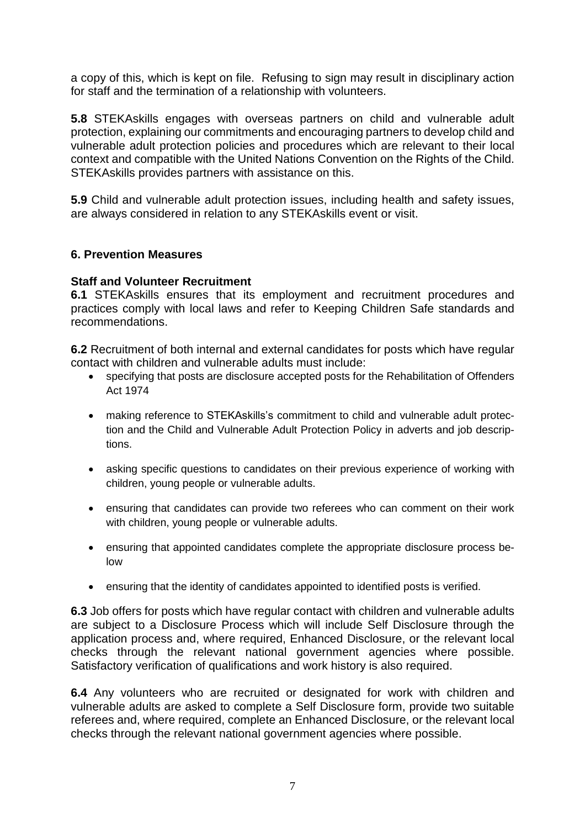a copy of this, which is kept on file. Refusing to sign may result in disciplinary action for staff and the termination of a relationship with volunteers.

**5.8** STEKAskills engages with overseas partners on child and vulnerable adult protection, explaining our commitments and encouraging partners to develop child and vulnerable adult protection policies and procedures which are relevant to their local context and compatible with the United Nations Convention on the Rights of the Child. STEKAskills provides partners with assistance on this.

**5.9** Child and vulnerable adult protection issues, including health and safety issues, are always considered in relation to any STEKAskills event or visit.

#### **6. Prevention Measures**

#### **Staff and Volunteer Recruitment**

**6.1** STEKAskills ensures that its employment and recruitment procedures and practices comply with local laws and refer to Keeping Children Safe standards and recommendations.

**6.2** Recruitment of both internal and external candidates for posts which have regular contact with children and vulnerable adults must include:

- specifying that posts are disclosure accepted posts for the Rehabilitation of Offenders Act 1974
- making reference to STEKAskills's commitment to child and vulnerable adult protection and the Child and Vulnerable Adult Protection Policy in adverts and job descriptions.
- asking specific questions to candidates on their previous experience of working with children, young people or vulnerable adults.
- ensuring that candidates can provide two referees who can comment on their work with children, young people or vulnerable adults.
- ensuring that appointed candidates complete the appropriate disclosure process below
- ensuring that the identity of candidates appointed to identified posts is verified.

**6.3** Job offers for posts which have regular contact with children and vulnerable adults are subject to a Disclosure Process which will include Self Disclosure through the application process and, where required, Enhanced Disclosure, or the relevant local checks through the relevant national government agencies where possible. Satisfactory verification of qualifications and work history is also required.

**6.4** Any volunteers who are recruited or designated for work with children and vulnerable adults are asked to complete a Self Disclosure form, provide two suitable referees and, where required, complete an Enhanced Disclosure, or the relevant local checks through the relevant national government agencies where possible.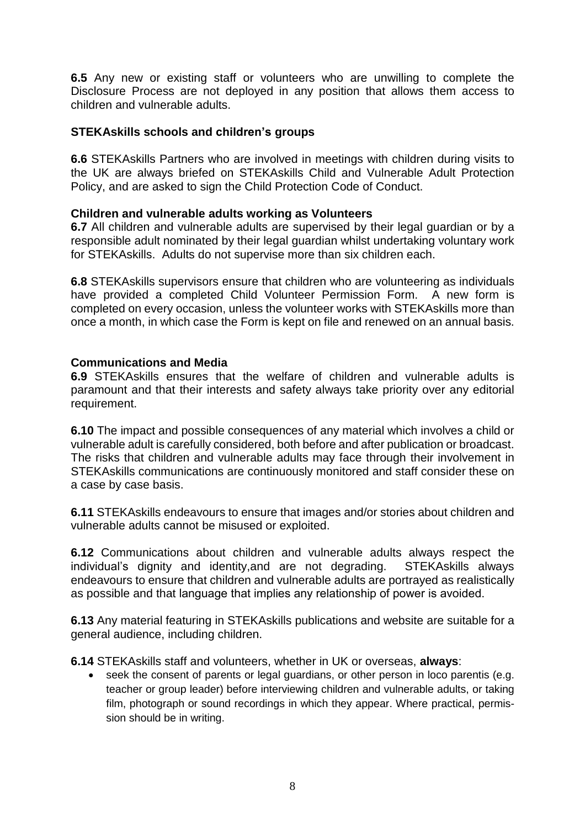**6.5** Any new or existing staff or volunteers who are unwilling to complete the Disclosure Process are not deployed in any position that allows them access to children and vulnerable adults.

#### **STEKAskills schools and children's groups**

**6.6** STEKAskills Partners who are involved in meetings with children during visits to the UK are always briefed on STEKAskills Child and Vulnerable Adult Protection Policy, and are asked to sign the Child Protection Code of Conduct.

#### **Children and vulnerable adults working as Volunteers**

**6.7** All children and vulnerable adults are supervised by their legal guardian or by a responsible adult nominated by their legal guardian whilst undertaking voluntary work for STEKAskills. Adults do not supervise more than six children each.

**6.8** STEKAskills supervisors ensure that children who are volunteering as individuals have provided a completed Child Volunteer Permission Form. A new form is completed on every occasion, unless the volunteer works with STEKAskills more than once a month, in which case the Form is kept on file and renewed on an annual basis.

#### **Communications and Media**

**6.9** STEKAskills ensures that the welfare of children and vulnerable adults is paramount and that their interests and safety always take priority over any editorial requirement.

**6.10** The impact and possible consequences of any material which involves a child or vulnerable adult is carefully considered, both before and after publication or broadcast. The risks that children and vulnerable adults may face through their involvement in STEKAskills communications are continuously monitored and staff consider these on a case by case basis.

**6.11** STEKAskills endeavours to ensure that images and/or stories about children and vulnerable adults cannot be misused or exploited.

**6.12** Communications about children and vulnerable adults always respect the individual's dignity and identity,and are not degrading. STEKAskills always endeavours to ensure that children and vulnerable adults are portrayed as realistically as possible and that language that implies any relationship of power is avoided.

**6.13** Any material featuring in STEKAskills publications and website are suitable for a general audience, including children.

**6.14** STEKAskills staff and volunteers, whether in UK or overseas, **always**:

seek the consent of parents or legal guardians, or other person in loco parentis (e.g. teacher or group leader) before interviewing children and vulnerable adults, or taking film, photograph or sound recordings in which they appear. Where practical, permission should be in writing.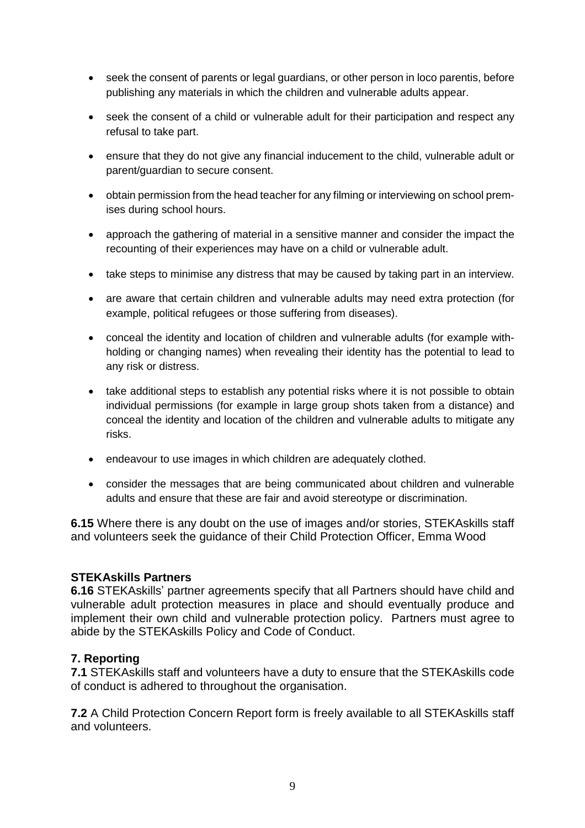- seek the consent of parents or legal guardians, or other person in loco parentis, before publishing any materials in which the children and vulnerable adults appear.
- seek the consent of a child or vulnerable adult for their participation and respect any refusal to take part.
- ensure that they do not give any financial inducement to the child, vulnerable adult or parent/guardian to secure consent.
- obtain permission from the head teacher for any filming or interviewing on school premises during school hours.
- approach the gathering of material in a sensitive manner and consider the impact the recounting of their experiences may have on a child or vulnerable adult.
- take steps to minimise any distress that may be caused by taking part in an interview.
- are aware that certain children and vulnerable adults may need extra protection (for example, political refugees or those suffering from diseases).
- conceal the identity and location of children and vulnerable adults (for example withholding or changing names) when revealing their identity has the potential to lead to any risk or distress.
- take additional steps to establish any potential risks where it is not possible to obtain individual permissions (for example in large group shots taken from a distance) and conceal the identity and location of the children and vulnerable adults to mitigate any risks.
- endeavour to use images in which children are adequately clothed.
- consider the messages that are being communicated about children and vulnerable adults and ensure that these are fair and avoid stereotype or discrimination.

**6.15** Where there is any doubt on the use of images and/or stories, STEKAskills staff and volunteers seek the guidance of their Child Protection Officer, Emma Wood

#### **STEKAskills Partners**

**6.16** STEKAskills' partner agreements specify that all Partners should have child and vulnerable adult protection measures in place and should eventually produce and implement their own child and vulnerable protection policy. Partners must agree to abide by the STEKAskills Policy and Code of Conduct.

#### **7. Reporting**

**7.1** STEKAskills staff and volunteers have a duty to ensure that the STEKAskills code of conduct is adhered to throughout the organisation.

**7.2** A Child Protection Concern Report form is freely available to all STEKAskills staff and volunteers.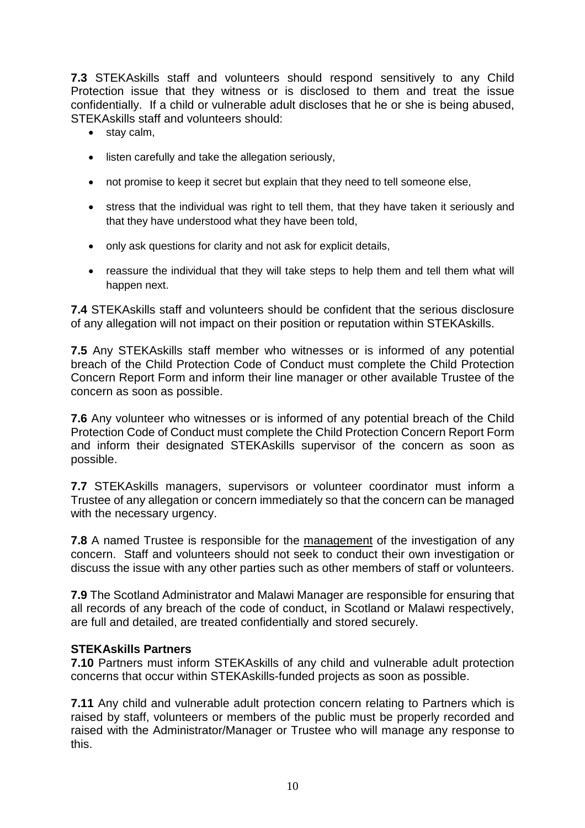**7.3** STEKAskills staff and volunteers should respond sensitively to any Child Protection issue that they witness or is disclosed to them and treat the issue confidentially. If a child or vulnerable adult discloses that he or she is being abused, STEKAskills staff and volunteers should:

- stay calm,
- listen carefully and take the allegation seriously,
- not promise to keep it secret but explain that they need to tell someone else,
- stress that the individual was right to tell them, that they have taken it seriously and that they have understood what they have been told,
- only ask questions for clarity and not ask for explicit details,
- reassure the individual that they will take steps to help them and tell them what will happen next.

**7.4** STEKAskills staff and volunteers should be confident that the serious disclosure of any allegation will not impact on their position or reputation within STEKAskills.

**7.5** Any STEKAskills staff member who witnesses or is informed of any potential breach of the Child Protection Code of Conduct must complete the Child Protection Concern Report Form and inform their line manager or other available Trustee of the concern as soon as possible.

**7.6** Any volunteer who witnesses or is informed of any potential breach of the Child Protection Code of Conduct must complete the Child Protection Concern Report Form and inform their designated STEKAskills supervisor of the concern as soon as possible.

**7.7** STEKAskills managers, supervisors or volunteer coordinator must inform a Trustee of any allegation or concern immediately so that the concern can be managed with the necessary urgency.

**7.8** A named Trustee is responsible for the management of the investigation of any concern. Staff and volunteers should not seek to conduct their own investigation or discuss the issue with any other parties such as other members of staff or volunteers.

**7.9** The Scotland Administrator and Malawi Manager are responsible for ensuring that all records of any breach of the code of conduct, in Scotland or Malawi respectively, are full and detailed, are treated confidentially and stored securely.

#### **STEKAskills Partners**

**7.10** Partners must inform STEKAskills of any child and vulnerable adult protection concerns that occur within STEKAskills-funded projects as soon as possible.

**7.11** Any child and vulnerable adult protection concern relating to Partners which is raised by staff, volunteers or members of the public must be properly recorded and raised with the Administrator/Manager or Trustee who will manage any response to this.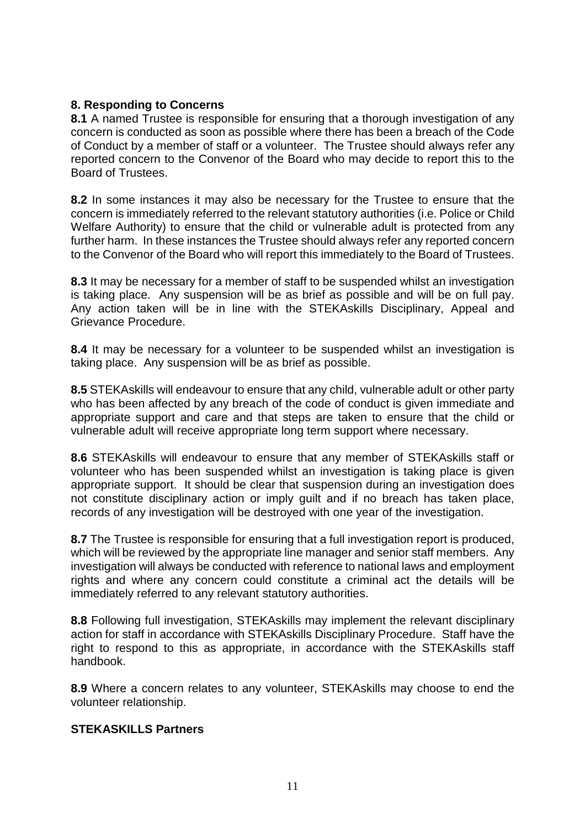### **8. Responding to Concerns**

**8.1** A named Trustee is responsible for ensuring that a thorough investigation of any concern is conducted as soon as possible where there has been a breach of the Code of Conduct by a member of staff or a volunteer. The Trustee should always refer any reported concern to the Convenor of the Board who may decide to report this to the Board of Trustees.

**8.2** In some instances it may also be necessary for the Trustee to ensure that the concern is immediately referred to the relevant statutory authorities (i.e. Police or Child Welfare Authority) to ensure that the child or vulnerable adult is protected from any further harm. In these instances the Trustee should always refer any reported concern to the Convenor of the Board who will report this immediately to the Board of Trustees.

**8.3** It may be necessary for a member of staff to be suspended whilst an investigation is taking place. Any suspension will be as brief as possible and will be on full pay. Any action taken will be in line with the STEKAskills Disciplinary, Appeal and Grievance Procedure.

**8.4** It may be necessary for a volunteer to be suspended whilst an investigation is taking place. Any suspension will be as brief as possible.

**8.5** STEKAskills will endeavour to ensure that any child, vulnerable adult or other party who has been affected by any breach of the code of conduct is given immediate and appropriate support and care and that steps are taken to ensure that the child or vulnerable adult will receive appropriate long term support where necessary.

**8.6** STEKAskills will endeavour to ensure that any member of STEKAskills staff or volunteer who has been suspended whilst an investigation is taking place is given appropriate support. It should be clear that suspension during an investigation does not constitute disciplinary action or imply guilt and if no breach has taken place, records of any investigation will be destroyed with one year of the investigation.

**8.7** The Trustee is responsible for ensuring that a full investigation report is produced, which will be reviewed by the appropriate line manager and senior staff members. Any investigation will always be conducted with reference to national laws and employment rights and where any concern could constitute a criminal act the details will be immediately referred to any relevant statutory authorities.

**8.8** Following full investigation, STEKAskills may implement the relevant disciplinary action for staff in accordance with STEKAskills Disciplinary Procedure. Staff have the right to respond to this as appropriate, in accordance with the STEKAskills staff handbook.

**8.9** Where a concern relates to any volunteer, STEKAskills may choose to end the volunteer relationship.

#### **STEKASKILLS Partners**